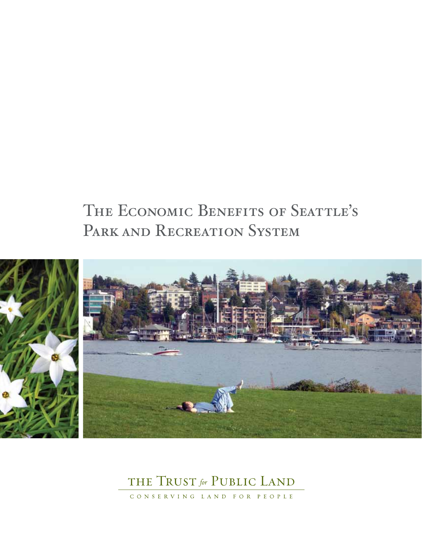# THE ECONOMIC BENEFITS OF SEATTLE'S PARK AND RECREATION SYSTEM



## THE TRUST for PUBLIC LAND

CONSERVING LAND FOR PEOPLE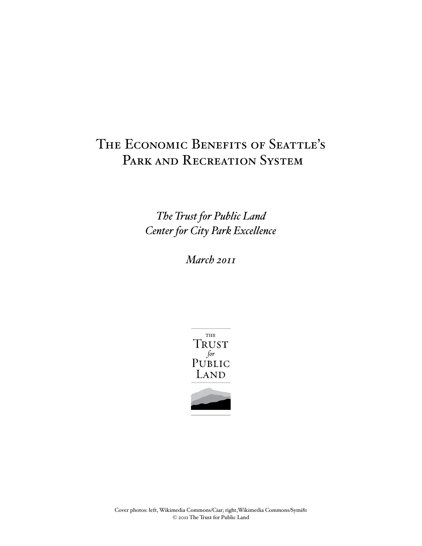## THE ECONOMIC BENEFITS OF SEATTLE'S PARK AND RECREATION SYSTEM

*The Trust for Public Land Center for City Park Excellence*

*March 2011*



Cover photos: left, Wikimedia Commons/Ciar; right,Wikimedia Commons/Symi81 © 2011 The Trust for Public Land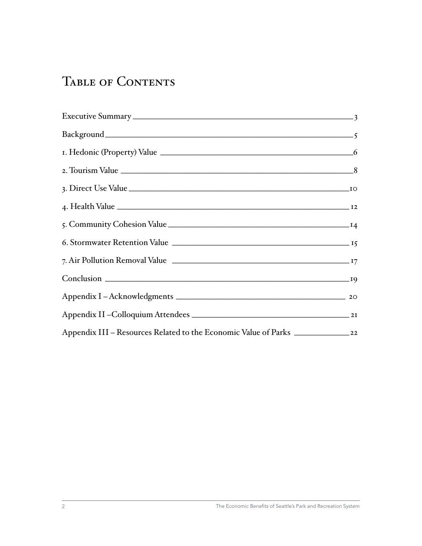## TABLE OF CONTENTS

| Background 5       |  |
|--------------------|--|
|                    |  |
|                    |  |
|                    |  |
| 4. Health Value 12 |  |
|                    |  |
|                    |  |
|                    |  |
|                    |  |
|                    |  |
|                    |  |
|                    |  |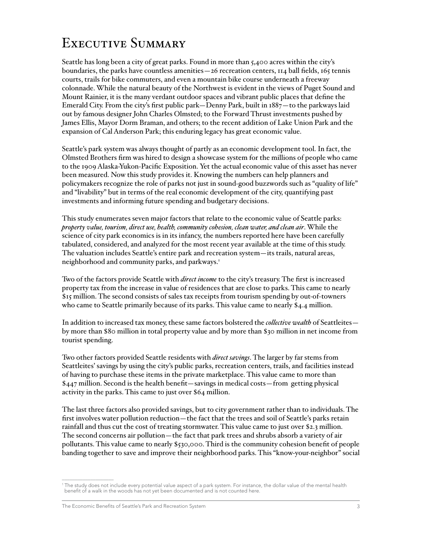## Executive Summary

Seattle has long been a city of great parks. Found in more than 5,400 acres within the city's boundaries, the parks have countless amenities—26 recreation centers, 114 ball fields, 165 tennis courts, trails for bike commuters, and even a mountain bike course underneath a freeway colonnade. While the natural beauty of the Northwest is evident in the views of Puget Sound and Mount Rainier, it is the many verdant outdoor spaces and vibrant public places that define the Emerald City. From the city's first public park—Denny Park, built in 1887—to the parkways laid out by famous designer John Charles Olmsted; to the Forward Thrust investments pushed by James Ellis, Mayor Dorm Braman, and others; to the recent addition of Lake Union Park and the expansion of Cal Anderson Park; this enduring legacy has great economic value.

Seattle's park system was always thought of partly as an economic development tool. In fact, the Olmsted Brothers firm was hired to design a showcase system for the millions of people who came to the 1909 Alaska-Yukon-Pacific Exposition. Yet the actual economic value of this asset has never been measured. Now this study provides it. Knowing the numbers can help planners and policymakers recognize the role of parks not just in sound-good buzzwords such as "quality of life" and "livability" but in terms of the real economic development of the city, quantifying past investments and informing future spending and budgetary decisions.

This study enumerates seven major factors that relate to the economic value of Seattle parks: *property value, tourism, direct use, health, community cohesion, clean water, and clean air*. While the science of city park economics is in its infancy, the numbers reported here have been carefully tabulated, considered, and analyzed for the most recent year available at the time of this study. The valuation includes Seattle's entire park and recreation system—its trails, natural areas, neighborhood and community parks, and parkways.<sup>1</sup>

Two of the factors provide Seattle with *direct income* to the city's treasury. The first is increased property tax from the increase in value of residences that are close to parks. This came to nearly \$15 million. The second consists of sales tax receipts from tourism spending by out-of-towners who came to Seattle primarily because of its parks. This value came to nearly \$4.4 million.

In addition to increased tax money, these same factors bolstered the *collective wealth* of Seattleites by more than \$80 million in total property value and by more than \$30 million in net income from tourist spending.

Two other factors provided Seattle residents with *direct savings*. The larger by far stems from Seattleites' savings by using the city's public parks, recreation centers, trails, and facilities instead of having to purchase these items in the private marketplace. This value came to more than \$447 million. Second is the health benefit—savings in medical costs—from getting physical activity in the parks. This came to just over \$64 million.

The last three factors also provided savings, but to city government rather than to individuals. The first involves water pollution reduction—the fact that the trees and soil of Seattle's parks retain rainfall and thus cut the cost of treating stormwater. This value came to just over \$2.3 million. The second concerns air pollution—the fact that park trees and shrubs absorb a variety of air pollutants. This value came to nearly \$530,000. Third is the community cohesion benefit of people banding together to save and improve their neighborhood parks. This "know-your-neighbor" social

#### The Economic Benefits of Seattle's Park and Recreation System 3

 $\_$ 

<sup>1</sup> The study does not include every potential value aspect of a park system. For instance, the dollar value of the mental health benefit of a walk in the woods has not yet been documented and is not counted here.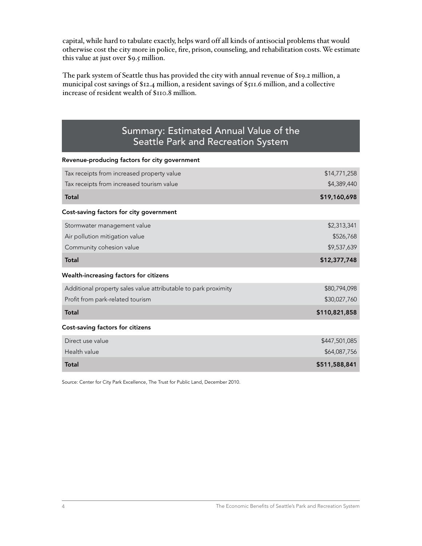capital, while hard to tabulate exactly, helps ward off all kinds of antisocial problems that would otherwise cost the city more in police, fire, prison, counseling, and rehabilitation costs. We estimate this value at just over \$9.5 million.

The park system of Seattle thus has provided the city with annual revenue of \$19.2 million, a municipal cost savings of \$12.4 million, a resident savings of \$511.6 million, and a collective increase of resident wealth of \$110.8 million.

#### Summary: Estimated Annual Value of the Seattle Park and Recreation System

| Revenue-producing factors for city government                  |               |
|----------------------------------------------------------------|---------------|
| Tax receipts from increased property value                     | \$14,771,258  |
| Tax receipts from increased tourism value                      | \$4,389,440   |
| <b>Total</b>                                                   | \$19,160,698  |
| Cost-saving factors for city government                        |               |
| Stormwater management value                                    | \$2,313,341   |
| Air pollution mitigation value                                 | \$526,768     |
| Community cohesion value                                       | \$9,537,639   |
| <b>Total</b>                                                   | \$12,377,748  |
| Wealth-increasing factors for citizens                         |               |
| Additional property sales value attributable to park proximity | \$80,794,098  |
| Profit from park-related tourism                               | \$30,027,760  |
| <b>Total</b>                                                   | \$110,821,858 |
| Cost-saving factors for citizens                               |               |
| Direct use value                                               | \$447,501,085 |
| Health value                                                   | \$64,087,756  |
| <b>Total</b>                                                   | \$511,588,841 |

Source: Center for City Park Excellence, The Trust for Public Land, December 2010.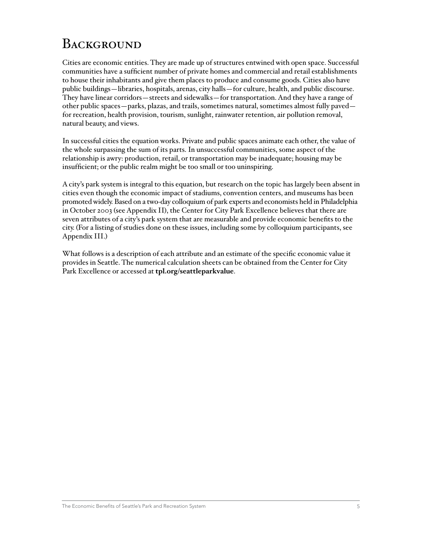## **BACKGROUND**

Cities are economic entities. They are made up of structures entwined with open space. Successful communities have a sufficient number of private homes and commercial and retail establishments to house their inhabitants and give them places to produce and consume goods. Cities also have public buildings—libraries, hospitals, arenas, city halls—for culture, health, and public discourse. They have linear corridors—streets and sidewalks—for transportation. And they have a range of other public spaces—parks, plazas, and trails, sometimes natural, sometimes almost fully paved for recreation, health provision, tourism, sunlight, rainwater retention, air pollution removal, natural beauty, and views.

In successful cities the equation works. Private and public spaces animate each other, the value of the whole surpassing the sum of its parts. In unsuccessful communities, some aspect of the relationship is awry: production, retail, or transportation may be inadequate; housing may be insufficient; or the public realm might be too small or too uninspiring.

A city's park system is integral to this equation, but research on the topic has largely been absent in cities even though the economic impact of stadiums, convention centers, and museums has been promoted widely. Based on a two-day colloquium of park experts and economists held in Philadelphia in October 2003 (see Appendix II), the Center for City Park Excellence believes that there are seven attributes of a city's park system that are measurable and provide economic benefits to the city. (For a listing of studies done on these issues, including some by colloquium participants, see Appendix III.)

What follows is a description of each attribute and an estimate of the specific economic value it provides in Seattle. The numerical calculation sheets can be obtained from the Center for City Park Excellence or accessed at **tpl.org/seattleparkvalue**.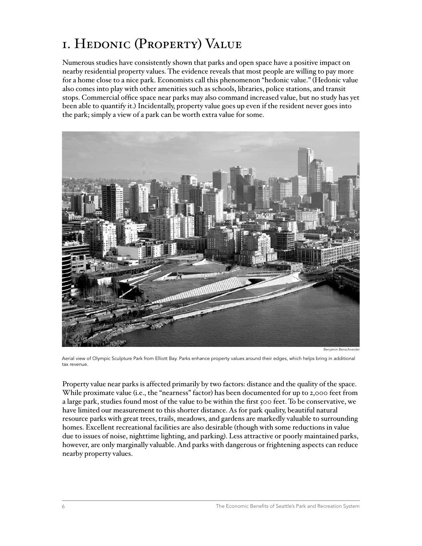## 1. Hedonic (Property) Value

Numerous studies have consistently shown that parks and open space have a positive impact on nearby residential property values. The evidence reveals that most people are willing to pay more for a home close to a nice park. Economists call this phenomenon "hedonic value." (Hedonic value also comes into play with other amenities such as schools, libraries, police stations, and transit stops. Commercial office space near parks may also command increased value, but no study has yet been able to quantify it.) Incidentally, property value goes up even if the resident never goes into the park; simply a view of a park can be worth extra value for some.



Aerial view of Olympic Sculpture Park from Elliott Bay. Parks enhance property values around their edges, which helps bring in additional tax revenue.

Property value near parks is affected primarily by two factors: distance and the quality of the space. While proximate value (i.e., the "nearness" factor) has been documented for up to 2,000 feet from a large park, studies found most of the value to be within the first 500 feet. To be conservative, we have limited our measurement to this shorter distance. As for park quality, beautiful natural resource parks with great trees, trails, meadows, and gardens are markedly valuable to surrounding homes. Excellent recreational facilities are also desirable (though with some reductions in value due to issues of noise, nighttime lighting, and parking). Less attractive or poorly maintained parks, however, are only marginally valuable. And parks with dangerous or frightening aspects can reduce nearby property values.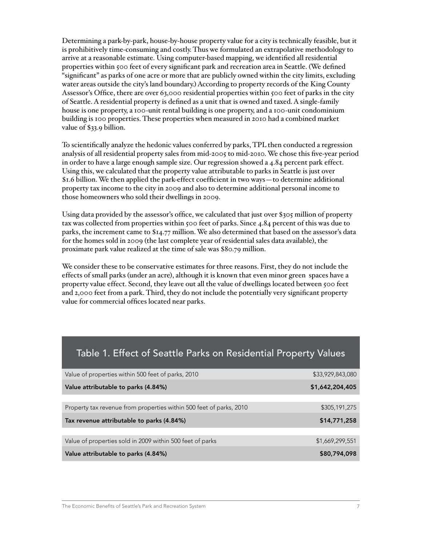Determining a park-by-park, house-by-house property value for a city is technically feasible, but it is prohibitively time-consuming and costly. Thus we formulated an extrapolative methodology to arrive at a reasonable estimate. Using computer-based mapping, we identified all residential properties within 500 feet of every significant park and recreation area in Seattle. (We defined "significant" as parks of one acre or more that are publicly owned within the city limits, excluding water areas outside the city's land boundary.) According to property records of the King County Assessor's Office, there are over 63,000 residential properties within 500 feet of parks in the city of Seattle. A residential property is defined as a unit that is owned and taxed. A single-family house is one property, a 100-unit rental building is one property, and a 100-unit condominium building is 100 properties. These properties when measured in 2010 had a combined market value of \$33.9 billion.

To scientifically analyze the hedonic values conferred by parks, TPL then conducted a regression analysis of all residential property sales from mid-2005 to mid-2010. We chose this five-year period in order to have a large enough sample size. Our regression showed a 4.84 percent park effect. Using this, we calculated that the property value attributable to parks in Seattle is just over \$1.6 billion. We then applied the park-effect coefficient in two ways—to determine additional property tax income to the city in 2009 and also to determine additional personal income to those homeowners who sold their dwellings in 2009.

Using data provided by the assessor's office, we calculated that just over \$305 million of property tax was collected from properties within 500 feet of parks. Since 4.84 percent of this was due to parks, the increment came to \$14.77 million. We also determined that based on the assessor's data for the homes sold in 2009 (the last complete year of residential sales data available), the proximate park value realized at the time of sale was \$80.79 million.

We consider these to be conservative estimates for three reasons. First, they do not include the effects of small parks (under an acre), although it is known that even minor green spaces have a property value effect. Second, they leave out all the value of dwellings located between 500 feet and 2,000 feet from a park. Third, they do not include the potentially very significant property value for commercial offices located near parks.

| Value of properties within 500 feet of parks, 2010                  | \$33,929,843,080 |
|---------------------------------------------------------------------|------------------|
| Value attributable to parks (4.84%)                                 | \$1,642,204,405  |
|                                                                     |                  |
| Property tax revenue from properties within 500 feet of parks, 2010 | \$305,191,275    |
| Tax revenue attributable to parks (4.84%)                           | \$14,771,258     |
|                                                                     |                  |
| Value of properties sold in 2009 within 500 feet of parks           | \$1,669,299,551  |
| Value attributable to parks (4.84%)                                 | \$80,794,098     |

#### Table 1. Effect of Seattle Parks on Residential Property Values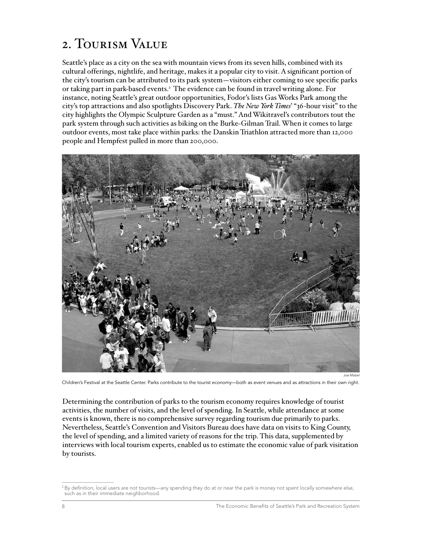## 2. Tourism Value

Seattle's place as a city on the sea with mountain views from its seven hills, combined with its cultural offerings, nightlife, and heritage, makes it a popular city to visit. A significant portion of the city's tourism can be attributed to its park system—visitors either coming to see specific parks or taking part in park-based events.2 The evidence can be found in travel writing alone. For instance, noting Seattle's great outdoor opportunities, Fodor's lists Gas Works Park among the city's top attractions and also spotlights Discovery Park. *The New York Times*' "36-hour visit" to the city highlights the Olympic Sculpture Garden as a "must." And Wikitravel's contributors tout the park system through such activities as biking on the Burke-Gilman Trail. When it comes to large outdoor events, most take place within parks: the Danskin Triathlon attracted more than 12,000 people and Hempfest pulled in more than 200,000.



Children's Festival at the Seattle Center. Parks contribute to the tourist economy—both as event venues and as attractions in their own right.

Determining the contribution of parks to the tourism economy requires knowledge of tourist activities, the number of visits, and the level of spending. In Seattle, while attendance at some events is known, there is no comprehensive survey regarding tourism due primarily to parks. Nevertheless, Seattle's Convention and Visitors Bureau does have data on visits to King County, the level of spending, and a limited variety of reasons for the trip. This data, supplemented by interviews with local tourism experts, enabled us to estimate the economic value of park visitation by tourists.

\_\_\_\_\_\_\_\_\_\_\_\_\_\_\_\_\_\_\_\_

<sup>&</sup>lt;sup>2</sup> By definition, local users are not tourists—any spending they do at or near the park is money not spent locally somewhere else, such as in their immediate neighborhood.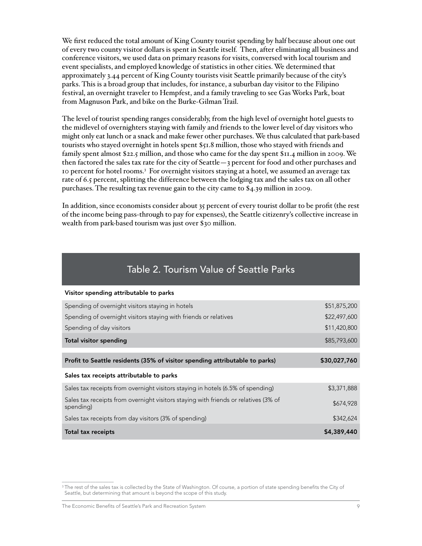We first reduced the total amount of King County tourist spending by half because about one out of every two county visitor dollars is spent in Seattle itself. Then, after eliminating all business and conference visitors, we used data on primary reasons for visits, conversed with local tourism and event specialists, and employed knowledge of statistics in other cities. We determined that approximately 3.44 percent of King County tourists visit Seattle primarily because of the city's parks. This is a broad group that includes, for instance, a suburban day visitor to the Filipino festival, an overnight traveler to Hempfest, and a family traveling to see Gas Works Park, boat from Magnuson Park, and bike on the Burke-Gilman Trail.

The level of tourist spending ranges considerably, from the high level of overnight hotel guests to the midlevel of overnighters staying with family and friends to the lower level of day visitors who might only eat lunch or a snack and make fewer other purchases. We thus calculated that park-based tourists who stayed overnight in hotels spent \$51.8 million, those who stayed with friends and family spent almost \$22.5 million, and those who came for the day spent \$11.4 million in 2009. We then factored the sales tax rate for the city of Seattle—3 percent for food and other purchases and 10 percent for hotel rooms.3 For overnight visitors staying at a hotel, we assumed an average tax rate of 6.5 percent, splitting the difference between the lodging tax and the sales tax on all other purchases. The resulting tax revenue gain to the city came to \$4.39 million in 2009.

In addition, since economists consider about 35 percent of every tourist dollar to be profit (the rest of the income being pass-through to pay for expenses), the Seattle citizenry's collective increase in wealth from park-based tourism was just over \$30 million.

| Table 2. Tourism Value of Seattle Parks                                                          |              |  |
|--------------------------------------------------------------------------------------------------|--------------|--|
| Visitor spending attributable to parks                                                           |              |  |
| Spending of overnight visitors staying in hotels                                                 | \$51,875,200 |  |
| Spending of overnight visitors staying with friends or relatives                                 | \$22,497,600 |  |
| Spending of day visitors                                                                         | \$11,420,800 |  |
| Total visitor spending                                                                           | \$85,793,600 |  |
| Profit to Seattle residents (35% of visitor spending attributable to parks)                      | \$30,027,760 |  |
| Sales tax receipts attributable to parks                                                         |              |  |
| Sales tax receipts from overnight visitors staying in hotels (6.5% of spending)                  | \$3,371,888  |  |
| Sales tax receipts from overnight visitors staying with friends or relatives (3% of<br>spending) | \$674,928    |  |
| Sales tax receipts from day visitors (3% of spending)                                            | \$342,624    |  |
| Total tax receipts                                                                               | \$4,389,440  |  |

\_\_\_\_\_\_\_\_\_\_\_\_\_\_\_\_\_\_\_\_

<sup>&</sup>lt;sup>3</sup>The rest of the sales tax is collected by the State of Washington. Of course, a portion of state spending benefits the City of Seattle, but determining that amount is beyond the scope of this study.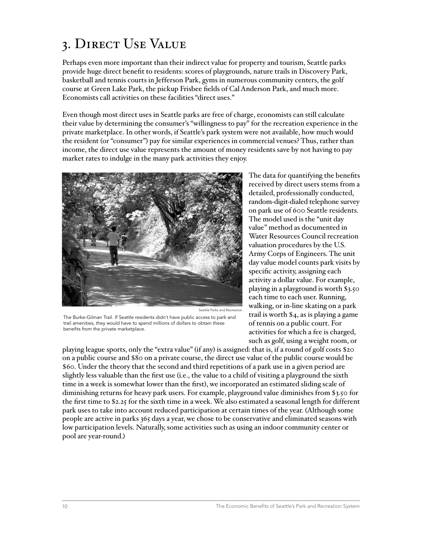## 3. Direct Use Value

Perhaps even more important than their indirect value for property and tourism, Seattle parks provide huge direct benefit to residents: scores of playgrounds, nature trails in Discovery Park, basketball and tennis courts in Jefferson Park, gyms in numerous community centers, the golf course at Green Lake Park, the pickup Frisbee fields of Cal Anderson Park, and much more. Economists call activities on these facilities "direct uses."

Even though most direct uses in Seattle parks are free of charge, economists can still calculate their value by determining the consumer's "willingness to pay" for the recreation experience in the private marketplace. In other words, if Seattle's park system were not available, how much would the resident (or "consumer") pay for similar experiences in commercial venues? Thus, rather than income, the direct use value represents the amount of money residents save by not having to pay market rates to indulge in the many park activities they enjoy.



The Burke-Gilman Trail. If Seattle residents didn't have public access to park and trail amenities, they would have to spend millions of dollars to obtain these benefits from the private marketplace.

The data for quantifying the benefits received by direct users stems from a detailed, professionally conducted, random-digit-dialed telephone survey on park use of 600 Seattle residents. The model used is the "unit day value" method as documented in Water Resources Council recreation valuation procedures by the U.S. Army Corps of Engineers. The unit day value model counts park visits by specific activity, assigning each activity a dollar value. For example, playing in a playground is worth \$3.50 each time to each user. Running, walking, or in-line skating on a park trail is worth \$4, as is playing a game of tennis on a public court. For activities for which a fee is charged, such as golf, using a weight room, or

playing league sports, only the "extra value" (if any) is assigned: that is, if a round of golf costs \$20 on a public course and \$80 on a private course, the direct use value of the public course would be \$60. Under the theory that the second and third repetitions of a park use in a given period are slightly less valuable than the first use (i.e., the value to a child of visiting a playground the sixth time in a week is somewhat lower than the first), we incorporated an estimated sliding scale of diminishing returns for heavy park users. For example, playground value diminishes from \$3.50 for the first time to \$2.25 for the sixth time in a week. We also estimated a seasonal length for different park uses to take into account reduced participation at certain times of the year. (Although some people are active in parks 365 days a year, we chose to be conservative and eliminated seasons with low participation levels. Naturally, some activities such as using an indoor community center or pool are year-round.)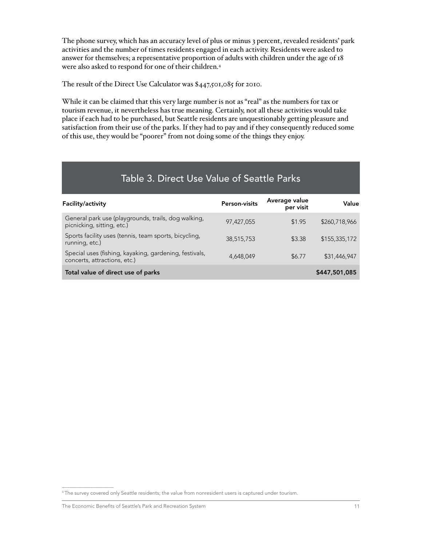The phone survey, which has an accuracy level of plus or minus 3 percent, revealed residents' park activities and the number of times residents engaged in each activity. Residents were asked to answer for themselves; a representative proportion of adults with children under the age of 18 were also asked to respond for one of their children.4

The result of the Direct Use Calculator was \$447,501,085 for 2010.

While it can be claimed that this very large number is not as "real" as the numbers for tax or tourism revenue, it nevertheless has true meaning. Certainly, not all these activities would take place if each had to be purchased, but Seattle residents are unquestionably getting pleasure and satisfaction from their use of the parks. If they had to pay and if they consequently reduced some of this use, they would be "poorer" from not doing some of the things they enjoy.

| Table 3. Direct Use Value of Seattle Parks                                             |                      |                            |               |
|----------------------------------------------------------------------------------------|----------------------|----------------------------|---------------|
| Facility/activity                                                                      | <b>Person-visits</b> | Average value<br>per visit | Value         |
| General park use (playgrounds, trails, dog walking,<br>picnicking, sitting, etc.)      | 97,427,055           | \$1.95                     | \$260,718,966 |
| Sports facility uses (tennis, team sports, bicycling,<br>running, etc.)                | 38,515,753           | \$3.38                     | \$155,335,172 |
| Special uses (fishing, kayaking, gardening, festivals,<br>concerts, attractions, etc.) | 4.648.049            | \$6.77                     | \$31,446,947  |
| Total value of direct use of parks                                                     |                      |                            | \$447,501,085 |

\_\_\_\_\_\_\_\_\_\_\_\_\_\_\_\_\_\_\_\_

<sup>&</sup>lt;sup>4</sup> The survey covered only Seattle residents; the value from nonresident users is captured under tourism.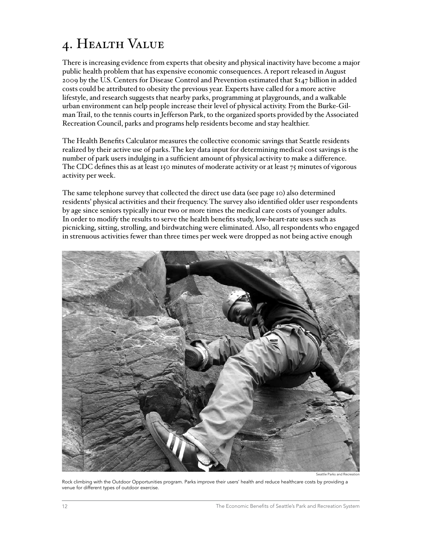# 4. Health Value

There is increasing evidence from experts that obesity and physical inactivity have become a major public health problem that has expensive economic consequences. A report released in August 2009 by the U.S. Centers for Disease Control and Prevention estimated that \$147 billion in added costs could be attributed to obesity the previous year. Experts have called for a more active lifestyle, and research suggests that nearby parks, programming at playgrounds, and a walkable urban environment can help people increase their level of physical activity. From the Burke-Gilman Trail, to the tennis courts in Jefferson Park, to the organized sports provided by the Associated Recreation Council, parks and programs help residents become and stay healthier.

The Health Benefits Calculator measures the collective economic savings that Seattle residents realized by their active use of parks. The key data input for determining medical cost savings is the number of park users indulging in a sufficient amount of physical activity to make a difference. The CDC defines this as at least 150 minutes of moderate activity or at least 75 minutes of vigorous activity per week.

The same telephone survey that collected the direct use data (see page 10) also determined residents' physical activities and their frequency. The survey also identified older user respondents by age since seniors typically incur two or more times the medical care costs of younger adults. In order to modify the results to serve the health benefits study, low-heart-rate uses such as picnicking, sitting, strolling, and birdwatching were eliminated. Also, all respondents who engaged in strenuous activities fewer than three times per week were dropped as not being active enough



Seattle Parks and Rec

Rock climbing with the Outdoor Opportunities program. Parks improve their users' health and reduce healthcare costs by providing a venue for different types of outdoor exercise.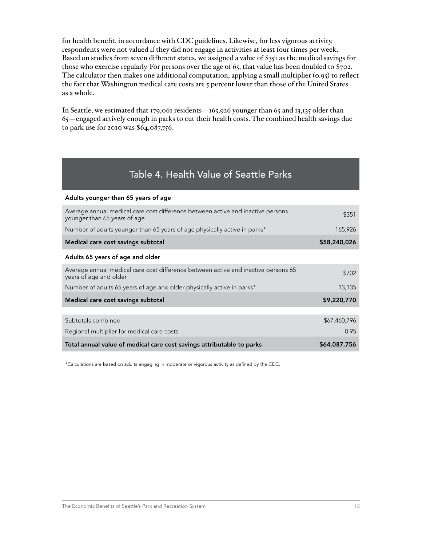for health benefit, in accordance with CDC guidelines. Likewise, for less vigorous activity, respondents were not valued if they did not engage in activities at least four times per week. Based on studies from seven different states, we assigned a value of \$351 as the medical savings for those who exercise regularly. For persons over the age of 65, that value has been doubled to \$702. The calculator then makes one additional computation, applying a small multiplier (0.95) to reflect the fact that Washington medical care costs are  $5$  percent lower than those of the United States as a whole.

In Seattle, we estimated that 179,061 residents—165,926 younger than 65 and 13,135 older than 65—engaged actively enough in parks to cut their health costs. The combined health savings due to park use for 2010 was \$64,087,756.

#### Table 4. Health Value of Seattle Parks

#### Adults younger than 65 years of age

| Average annual medical care cost difference between active and inactive persons<br>younger than 65 years of age | \$351        |
|-----------------------------------------------------------------------------------------------------------------|--------------|
| Number of adults younger than 65 years of age physically active in parks*                                       | 165,926      |
| Medical care cost savings subtotal                                                                              | \$58,240,026 |
| Adults 65 years of age and older                                                                                |              |
| Average annual medical care cost difference between active and inactive persons 65<br>years of age and older    | \$702        |
| Number of adults 65 years of age and older physically active in parks*                                          | 13,135       |
| Medical care cost savings subtotal                                                                              | \$9,220,770  |
|                                                                                                                 |              |
| Subtotals combined                                                                                              | \$67,460,796 |
| Regional multiplier for medical care costs                                                                      | 0.95         |
| Total annual value of medical care cost savings attributable to parks                                           | \$64,087,756 |

\*Calculations are based on adults engaging in moderate or vigorous activity as defined by the CDC.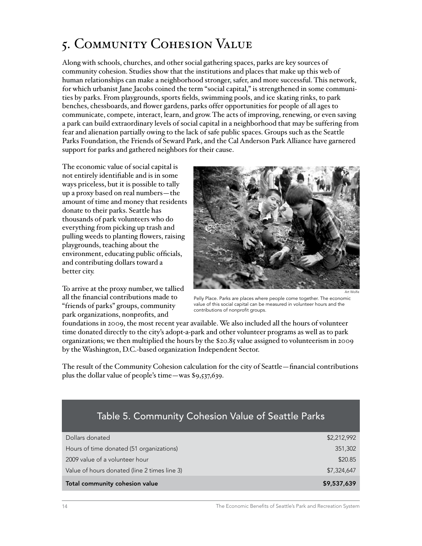# 5. Community Cohesion Value

Along with schools, churches, and other social gathering spaces, parks are key sources of community cohesion. Studies show that the institutions and places that make up this web of human relationships can make a neighborhood stronger, safer, and more successful. This network, for which urbanist Jane Jacobs coined the term "social capital," is strengthened in some communities by parks. From playgrounds, sports fields, swimming pools, and ice skating rinks, to park benches, chessboards, and flower gardens, parks offer opportunities for people of all ages to communicate, compete, interact, learn, and grow. The acts of improving, renewing, or even saving a park can build extraordinary levels of social capital in a neighborhood that may be suffering from fear and alienation partially owing to the lack of safe public spaces. Groups such as the Seattle Parks Foundation, the Friends of Seward Park, and the Cal Anderson Park Alliance have garnered support for parks and gathered neighbors for their cause.

The economic value of social capital is not entirely identifiable and is in some ways priceless, but it is possible to tally up a proxy based on real numbers—the amount of time and money that residents donate to their parks. Seattle has thousands of park volunteers who do everything from picking up trash and pulling weeds to planting flowers, raising playgrounds, teaching about the environment, educating public officials, and contributing dollars toward a better city.

To arrive at the proxy number, we tallied all the financial contributions made to "friends of parks" groups, community park organizations, nonprofits, and



Pelly Place. Parks are places where people come together. The economic value of this social capital can be measured in volunteer hours and the contributions of nonprofit groups.

foundations in 2009, the most recent year available. We also included all the hours of volunteer time donated directly to the city's adopt-a-park and other volunteer programs as well as to park organizations; we then multiplied the hours by the \$20.85 value assigned to volunteerism in 2009 by the Washington, D.C.-based organization Independent Sector.

The result of the Community Cohesion calculation for the city of Seattle—financial contributions plus the dollar value of people's time—was \$9,537,639.

## Table 5. Community Cohesion Value of Seattle Parks

| Dollars donated                              | \$2,212,992 |
|----------------------------------------------|-------------|
| Hours of time donated (51 organizations)     | 351,302     |
| 2009 value of a volunteer hour               | \$20.85     |
| Value of hours donated (line 2 times line 3) | \$7,324,647 |
| Total community cohesion value               | \$9,537,639 |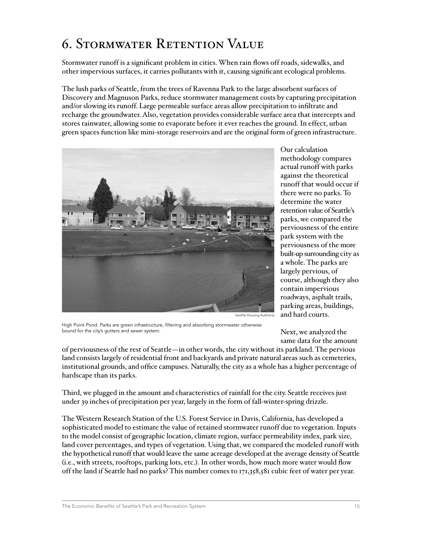## 6. Stormwater Retention Value

Stormwater runoff is a significant problem in cities. When rain flows off roads, sidewalks, and other impervious surfaces, it carries pollutants with it, causing significant ecological problems.

The lush parks of Seattle, from the trees of Ravenna Park to the large absorbent surfaces of Discovery and Magnuson Parks, reduce stormwater management costs by capturing precipitation and/or slowing its runoff. Large permeable surface areas allow precipitation to infiltrate and recharge the groundwater. Also, vegetation provides considerable surface area that intercepts and stores rainwater, allowing some to evaporate before it ever reaches the ground. In effect, urban green spaces function like mini-storage reservoirs and are the original form of green infrastructure.



Our calculation methodology compares actual runoff with parks against the theoretical runoff that would occur if there were no parks. To determine the water retention value of Seattle's parks, we compared the perviousness of the entire park system with the perviousness of the more built-up surrounding city as a whole. The parks are largely pervious, of course, although they also contain impervious roadways, asphalt trails, parking areas, buildings, and hard courts.

High Point Pond. Parks are green infrastructure, filtering and absorbing stormwater otherwise bound for the city's gutters and sewer system.

Next, we analyzed the same data for the amount

of perviousness of the rest of Seattle—in other words, the city without its parkland. The pervious land consists largely of residential front and backyards and private natural areas such as cemeteries, institutional grounds, and office campuses. Naturally, the city as a whole has a higher percentage of hardscape than its parks.

Third, we plugged in the amount and characteristics of rainfall for the city. Seattle receives just under 39 inches of precipitation per year, largely in the form of fall-winter-spring drizzle.

The Western Research Station of the U.S. Forest Service in Davis, California, has developed a sophisticated model to estimate the value of retained stormwater runoff due to vegetation. Inputs to the model consist of geographic location, climate region, surface permeability index, park size, land cover percentages, and types of vegetation. Using that, we compared the modeled runoff with the hypothetical runoff that would leave the same acreage developed at the average density of Seattle (i.e., with streets, rooftops, parking lots, etc.). In other words, how much more water would flow off the land if Seattle had no parks? This number comes to 171,358,581 cubic feet of water per year.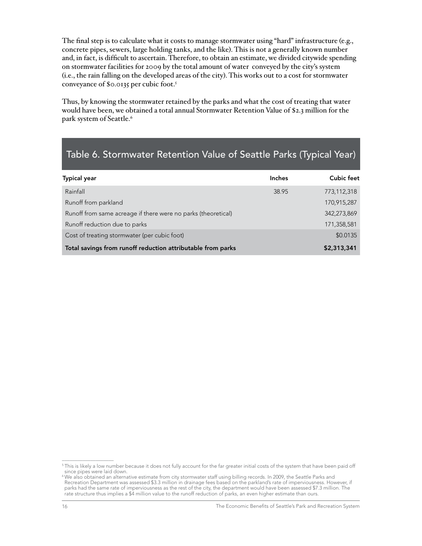The final step is to calculate what it costs to manage stormwater using "hard" infrastructure (e.g., concrete pipes, sewers, large holding tanks, and the like). This is not a generally known number and, in fact, is difficult to ascertain. Therefore, to obtain an estimate, we divided citywide spending on stormwater facilities for 2009 by the total amount of water conveyed by the city's system (i.e., the rain falling on the developed areas of the city). This works out to a cost for stormwater conveyance of \$0.0135 per cubic foot.5

Thus, by knowing the stormwater retained by the parks and what the cost of treating that water would have been, we obtained a total annual Stormwater Retention Value of \$2.3 million for the park system of Seattle.<sup>6</sup>

## Table 6. Stormwater Retention Value of Seattle Parks (Typical Year)

| <b>Typical year</b>                                           | <b>Inches</b> | <b>Cubic feet</b> |
|---------------------------------------------------------------|---------------|-------------------|
| Rainfall                                                      | 38.95         | 773,112,318       |
| Runoff from parkland                                          |               | 170,915,287       |
| Runoff from same acreage if there were no parks (theoretical) |               | 342,273,869       |
| Runoff reduction due to parks                                 |               | 171,358,581       |
| Cost of treating stormwater (per cubic foot)                  |               | \$0.0135          |
| Total savings from runoff reduction attributable from parks   |               | \$2,313,341       |

\_\_\_\_\_\_\_\_\_\_\_\_\_\_\_\_\_\_\_\_

<sup>&</sup>lt;sup>5</sup>This is likely a low number because it does not fully account for the far greater initial costs of the system that have been paid off since pipes were laid down.

<sup>&</sup>lt;sup>6</sup> We also obtained an alternative estimate from city stormwater staff using billing records. In 2009, the Seattle Parks and Recreation Department was assessed \$3.3 million in drainage fees based on the parkland's rate of imperviousness. However, if parks had the same rate of imperviousness as the rest of the city, the department would have been assessed \$7.3 million. The rate structure thus implies a \$4 million value to the runoff reduction of parks, an even higher estimate than ours.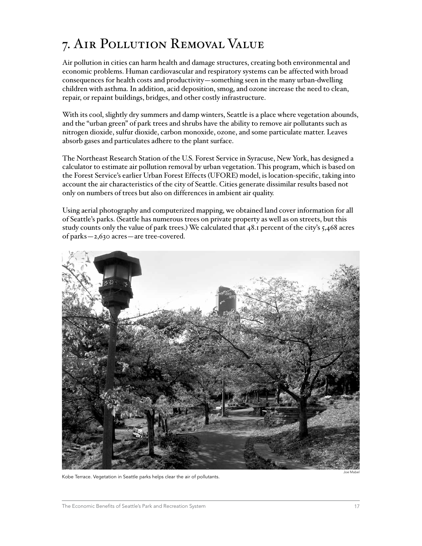## 7. Air Pollution Removal Value

Air pollution in cities can harm health and damage structures, creating both environmental and economic problems. Human cardiovascular and respiratory systems can be affected with broad consequences for health costs and productivity—something seen in the many urban-dwelling children with asthma. In addition, acid deposition, smog, and ozone increase the need to clean, repair, or repaint buildings, bridges, and other costly infrastructure.

With its cool, slightly dry summers and damp winters, Seattle is a place where vegetation abounds, and the "urban green" of park trees and shrubs have the ability to remove air pollutants such as nitrogen dioxide, sulfur dioxide, carbon monoxide, ozone, and some particulate matter. Leaves absorb gases and particulates adhere to the plant surface.

The Northeast Research Station of the U.S. Forest Service in Syracuse, New York, has designed a calculator to estimate air pollution removal by urban vegetation. This program, which is based on the Forest Service's earlier Urban Forest Effects (UFORE) model, is location-specific, taking into account the air characteristics of the city of Seattle. Cities generate dissimilar results based not only on numbers of trees but also on differences in ambient air quality.

Using aerial photography and computerized mapping, we obtained land cover information for all of Seattle's parks. (Seattle has numerous trees on private property as well as on streets, but this study counts only the value of park trees.) We calculated that 48.1 percent of the city's 5,468 acres of parks—2,630 acres—are tree-covered.



Kobe Terrace. Vegetation in Seattle parks helps clear the air of pollutants.

Joe Mabel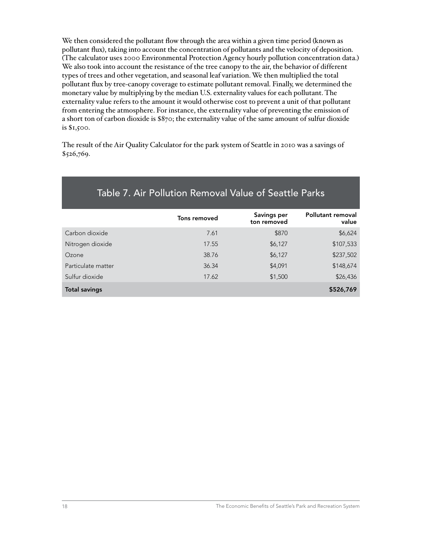We then considered the pollutant flow through the area within a given time period (known as pollutant flux), taking into account the concentration of pollutants and the velocity of deposition. (The calculator uses 2000 Environmental Protection Agency hourly pollution concentration data.) We also took into account the resistance of the tree canopy to the air, the behavior of different types of trees and other vegetation, and seasonal leaf variation. We then multiplied the total pollutant flux by tree-canopy coverage to estimate pollutant removal. Finally, we determined the monetary value by multiplying by the median U.S. externality values for each pollutant. The externality value refers to the amount it would otherwise cost to prevent a unit of that pollutant from entering the atmosphere. For instance, the externality value of preventing the emission of a short ton of carbon dioxide is \$870; the externality value of the same amount of sulfur dioxide is \$1,500.

The result of the Air Quality Calculator for the park system of Seattle in 2010 was a savings of \$526,769.

|                      | Tons removed | Savings per<br>ton removed | <b>Pollutant removal</b><br>value |
|----------------------|--------------|----------------------------|-----------------------------------|
| Carbon dioxide       | 7.61         | \$870                      | \$6,624                           |
| Nitrogen dioxide     | 17.55        | \$6,127                    | \$107,533                         |
| Ozone                | 38.76        | \$6,127                    | \$237,502                         |
| Particulate matter   | 36.34        | \$4,091                    | \$148,674                         |
| Sulfur dioxide       | 17.62        | \$1,500                    | \$26,436                          |
| <b>Total savings</b> |              |                            | \$526,769                         |

#### Table 7. Air Pollution Removal Value of Seattle Parks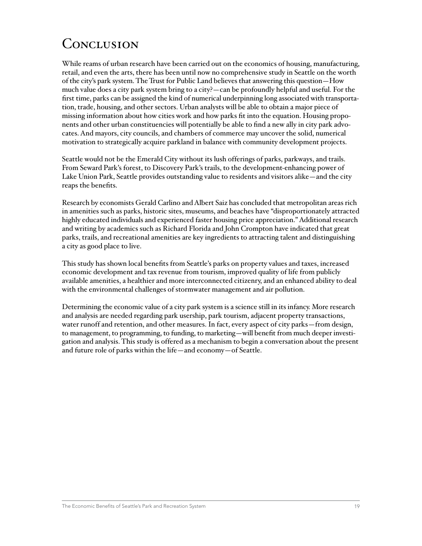## **CONCLUSION**

While reams of urban research have been carried out on the economics of housing, manufacturing, retail, and even the arts, there has been until now no comprehensive study in Seattle on the worth of the city's park system. The Trust for Public Land believes that answering this question—How much value does a city park system bring to a city?—can be profoundly helpful and useful. For the first time, parks can be assigned the kind of numerical underpinning long associated with transportation, trade, housing, and other sectors. Urban analysts will be able to obtain a major piece of missing information about how cities work and how parks fit into the equation. Housing proponents and other urban constituencies will potentially be able to find a new ally in city park advocates. And mayors, city councils, and chambers of commerce may uncover the solid, numerical motivation to strategically acquire parkland in balance with community development projects.

Seattle would not be the Emerald City without its lush offerings of parks, parkways, and trails. From Seward Park's forest, to Discovery Park's trails, to the development-enhancing power of Lake Union Park, Seattle provides outstanding value to residents and visitors alike—and the city reaps the benefits.

Research by economists Gerald Carlino and Albert Saiz has concluded that metropolitan areas rich in amenities such as parks, historic sites, museums, and beaches have "disproportionately attracted highly educated individuals and experienced faster housing price appreciation." Additional research and writing by academics such as Richard Florida and John Crompton have indicated that great parks, trails, and recreational amenities are key ingredients to attracting talent and distinguishing a city as good place to live.

This study has shown local benefits from Seattle's parks on property values and taxes, increased economic development and tax revenue from tourism, improved quality of life from publicly available amenities, a healthier and more interconnected citizenry, and an enhanced ability to deal with the environmental challenges of stormwater management and air pollution.

Determining the economic value of a city park system is a science still in its infancy. More research and analysis are needed regarding park usership, park tourism, adjacent property transactions, water runoff and retention, and other measures. In fact, every aspect of city parks—from design, to management, to programming, to funding, to marketing—will benefit from much deeper investigation and analysis. This study is offered as a mechanism to begin a conversation about the present and future role of parks within the life—and economy—of Seattle.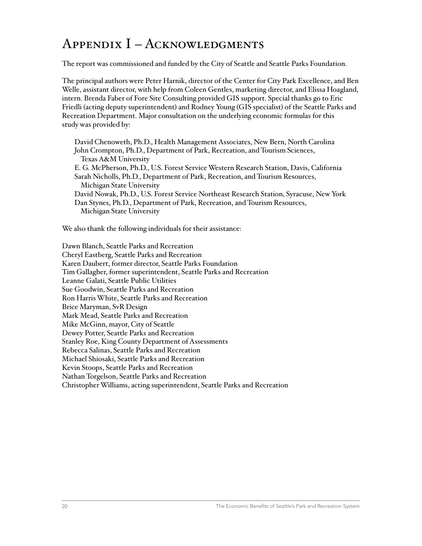## Appendix I – Acknowledgments

The report was commissioned and funded by the City of Seattle and Seattle Parks Foundation.

The principal authors were Peter Harnik, director of the Center for City Park Excellence, and Ben Welle, assistant director, with help from Coleen Gentles, marketing director, and Elissa Hoagland, intern. Brenda Faber of Fore Site Consulting provided GIS support. Special thanks go to Eric Friedli (acting deputy superintendent) and Rodney Young (GIS specialist) of the Seattle Parks and Recreation Department. Major consultation on the underlying economic formulas for this study was provided by:

David Chenoweth, Ph.D., Health Management Associates, New Bern, North Carolina John Crompton, Ph.D., Department of Park, Recreation, and Tourism Sciences, Texas A&M University E. G. McPherson, Ph.D., U.S. Forest Service Western Research Station, Davis, California Sarah Nicholls, Ph.D., Department of Park, Recreation, and Tourism Resources, Michigan State University David Nowak, Ph.D., U.S. Forest Service Northeast Research Station, Syracuse, New York Dan Stynes, Ph.D., Department of Park, Recreation, and Tourism Resources, Michigan State University

We also thank the following individuals for their assistance:

Dawn Blanch, Seattle Parks and Recreation Cheryl Eastberg, Seattle Parks and Recreation Karen Daubert, former director, Seattle Parks Foundation Tim Gallagher, former superintendent, Seattle Parks and Recreation Leanne Galati, Seattle Public Utilities Sue Goodwin, Seattle Parks and Recreation Ron Harris White, Seattle Parks and Recreation Brice Maryman, SvR Design Mark Mead, Seattle Parks and Recreation Mike McGinn, mayor, City of Seattle Dewey Potter, Seattle Parks and Recreation Stanley Roe, King County Department of Assessments Rebecca Salinas, Seattle Parks and Recreation Michael Shiosaki, Seattle Parks and Recreation Kevin Stoops, Seattle Parks and Recreation Nathan Torgelson, Seattle Parks and Recreation Christopher Williams, acting superintendent, Seattle Parks and Recreation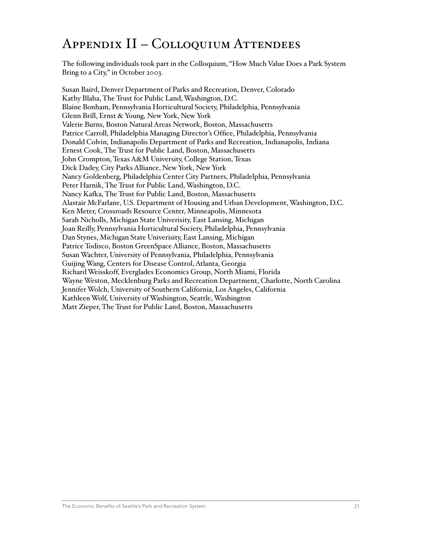## Appendix II – Colloquium Attendees

The following individuals took part in the Colloquium, "How Much Value Does a Park System Bring to a City," in October 2003.

Susan Baird, Denver Department of Parks and Recreation, Denver, Colorado Kathy Blaha, The Trust for Public Land, Washington, D.C. Blaine Bonham, Pennsylvania Horticultural Society, Philadelphia, Pennsylvania Glenn Brill, Ernst & Young, New York, New York Valerie Burns, Boston Natural Areas Network, Boston, Massachusetts Patrice Carroll, Philadelphia Managing Director's Office, Philadelphia, Pennsylvania Donald Colvin, Indianapolis Department of Parks and Recreation, Indianapolis, Indiana Ernest Cook, The Trust for Public Land, Boston, Massachusetts John Crompton, Texas A&M University, College Station, Texas Dick Dadey, City Parks Alliance, New York, New York Nancy Goldenberg, Philadelphia Center City Partners, Philadelphia, Pennsylvania Peter Harnik, The Trust for Public Land, Washington, D.C. Nancy Kafka, The Trust for Public Land, Boston, Massachusetts Alastair McFarlane, U.S. Department of Housing and Urban Development, Washington, D.C. Ken Meter, Crossroads Resource Center, Minneapolis, Minnesota Sarah Nicholls, Michigan State Univerisity, East Lansing, Michigan Joan Reilly, Pennsylvania Horticultural Society, Philadelphia, Pennsylvania Dan Stynes, Michigan State Univerisity, East Lansing, Michigan Patrice Todisco, Boston GreenSpace Alliance, Boston, Massachusetts Susan Wachter, University of Pennsylvania, Philadelphia, Pennsylvania Guijing Wang, Centers for Disease Control, Atlanta, Georgia Richard Weisskoff, Everglades Economics Group, North Miami, Florida Wayne Weston, Mecklenburg Parks and Recreation Department, Charlotte, North Carolina Jennifer Wolch, University of Southern California, Los Angeles, California Kathleen Wolf, University of Washington, Seattle, Washington Matt Zieper, The Trust for Public Land, Boston, Massachusetts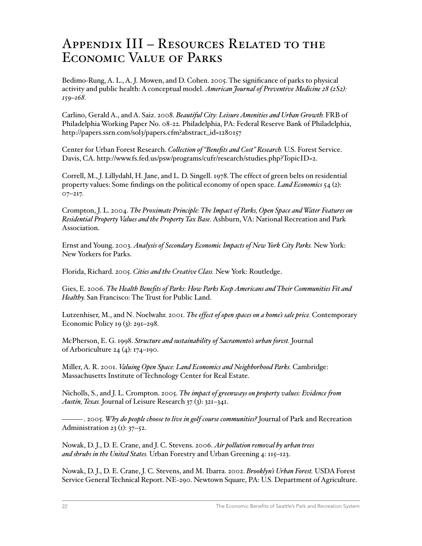## Appendix III – Resources Related to the Economic Value of Parks

Bedimo-Rung, A. L., A. J. Mowen, and D. Cohen. 2005. The significance of parks to physical activity and public health: A conceptual model. *American Journal of Preventive Medicine 28 (2S2): 159–168.*

Carlino, Gerald A., and A. Saiz. 2008. *Beautiful City: Leisure Amenities and Urban Growth.* FRB of Philadelphia Working Paper No. 08-22. Philadelphia, PA: Federal Reserve Bank of Philadelphia, http://papers.ssrn.com/sol3/papers.cfm?abstract\_id=1280157

Center for Urban Forest Research. *Collection of "Benefits and Cost" Research.* U.S. Forest Service. Davis, CA. http://www.fs.fed.us/psw/programs/cufr/research/studies.php?TopicID=2.

Correll, M., J. Lillydahl, H. Jane, and L. D. Singell. 1978. The effect of green belts on residential property values: Some findings on the political economy of open space. *Land Economics* 54 (2): 07–217.

Crompton, J. L. 2004. *The Proximate Principle: The Impact of Parks, Open Space and Water Features on Residential Property Values and the Property Tax Base*. Ashburn, VA: National Recreation and Park Association.

Ernst and Young. 2003. *Analysis of Secondary Economic Impacts of New York City Parks.* New York: New Yorkers for Parks.

Florida, Richard. 2005. *Cities and the Creative Class.* New York: Routledge.

Gies, E. 2006. *The Health Benefits of Parks: How Parks Keep Americans and Their Communities Fit and Healthy.* San Francisco: The Trust for Public Land.

Lutzenhiser, M., and N. Noelwahr. 2001. *The effect of open spaces on a home's sale price.* Contemporary Economic Policy 19 (3): 291–298.

McPherson, E. G. 1998. *Structure and sustainability of Sacramento's urban forest.* Journal of Arboriculture 24 (4): 174–190.

Miller, A. R. 2001. *Valuing Open Space: Land Economics and Neighborhood Parks.* Cambridge: Massachusetts Institute of Technology Center for Real Estate.

Nicholls, S., and J. L. Crompton. 2005. *The impact of greenways on property values: Evidence from Austin, Texas.* Journal of Leisure Research 37 (3): 321–341.

 . 2005. *Why do people choose to live in golf course communities?* Journal of Park and Recreation Administration 23 (1):  $37-52$ .

Nowak, D. J., D. E. Crane, and J. C. Stevens. 2006. *Air pollution removal by urban trees and shrubs in the United States.* Urban Forestry and Urban Greening 4: 115–123.

Nowak, D. J., D. E. Crane, J. C. Stevens, and M. Ibarra. 2002. *Brooklyn's Urban Forest.* USDA Forest Service General Technical Report. NE-290. Newtown Square, PA: U.S. Department of Agriculture.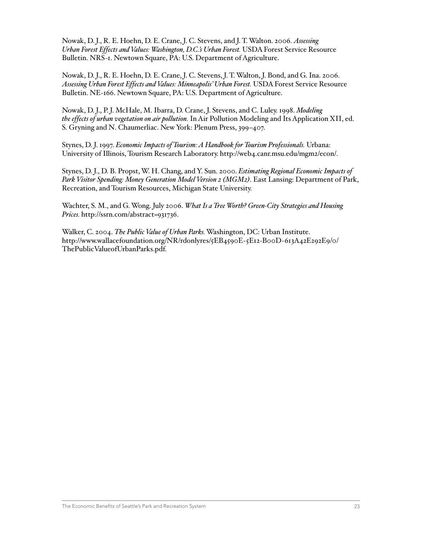Nowak, D. J., R. E. Hoehn, D. E. Crane, J. C. Stevens, and J. T. Walton. 2006. *Assessing Urban Forest Effects and Values: Washington, D.C.'s Urban Forest.* USDA Forest Service Resource Bulletin. NRS-1. Newtown Square, PA: U.S. Department of Agriculture.

Nowak, D. J., R. E. Hoehn, D. E. Crane, J. C. Stevens, J. T. Walton, J. Bond, and G. Ina. 2006. *Assessing Urban Forest Effects and Values: Minneapolis' Urban Forest.* USDA Forest Service Resource Bulletin. NE-166. Newtown Square, PA: U.S. Department of Agriculture.

Nowak, D. J., P. J. McHale, M. Ibarra, D. Crane, J. Stevens, and C. Luley. 1998. *Modeling the effects of urban vegetation on air pollution.* In Air Pollution Modeling and Its Application XII, ed. S. Gryning and N. Chaumerliac. New York: Plenum Press, 399–407.

Stynes, D. J. 1997. *Economic Impacts of Tourism: A Handbook for Tourism Professionals.* Urbana: University of Illinois, Tourism Research Laboratory. http://web4.canr.msu.edu/mgm2/econ/.

Stynes, D. J., D. B. Propst, W. H. Chang, and Y. Sun. 2000. *Estimating Regional Economic Impacts of Park Visitor Spending: Money Generation Model Version 2 (MGM2)*. East Lansing: Department of Park, Recreation, and Tourism Resources, Michigan State University.

Wachter, S. M., and G. Wong. July 2006. *What Is a Tree Worth? Green-City Strategies and Housing Prices.* http://ssrn.com/abstract=931736.

Walker, C. 2004. *The Public Value of Urban Parks.* Washington, DC: Urban Institute. http://www.wallacefoundation.org/NR/rdonlyres/5EB4590E-5E12-B00D-613A42E292E9/0/ ThePublicValueofUrbanParks.pdf.